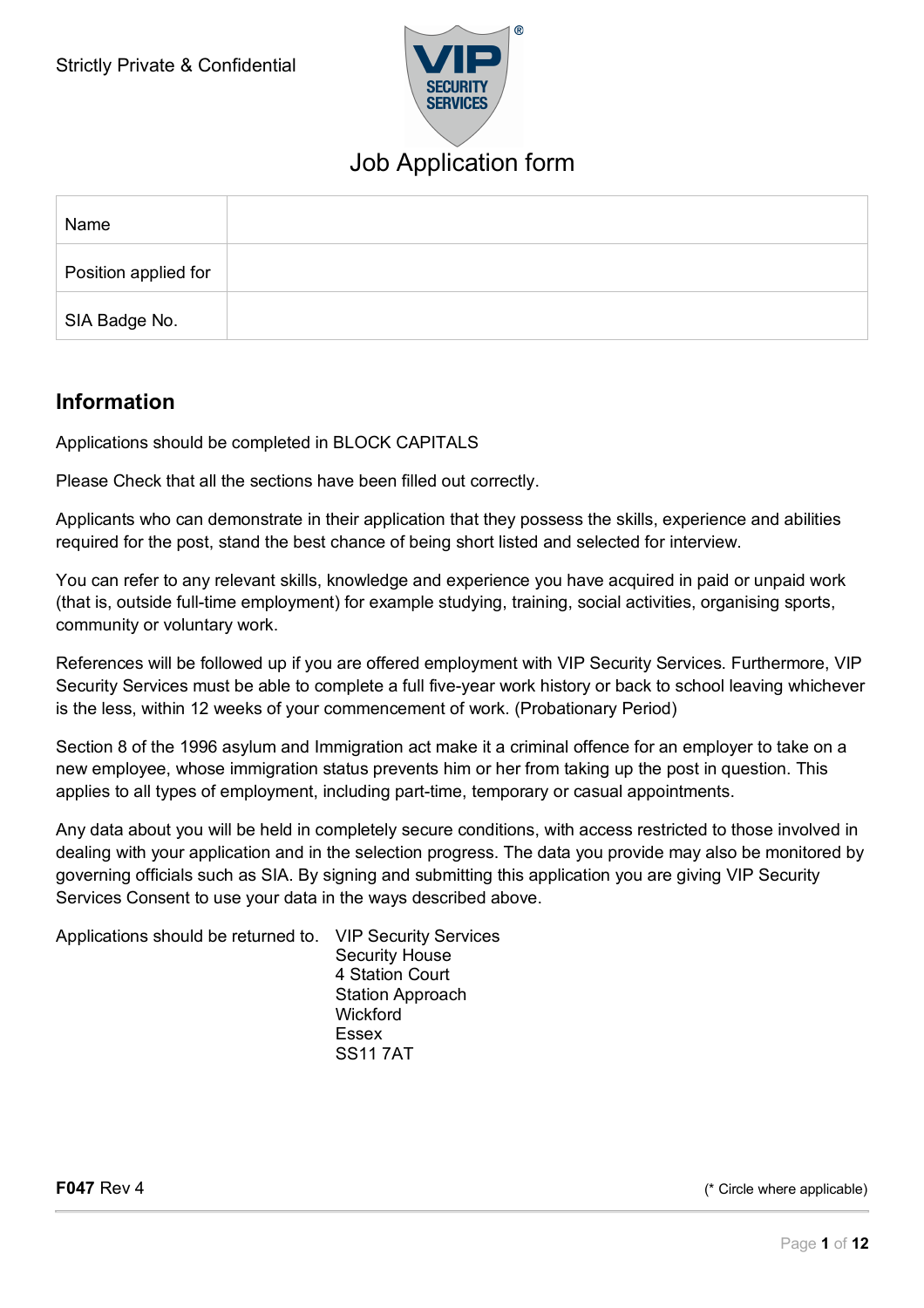

| Name                 |  |
|----------------------|--|
| Position applied for |  |
| SIA Badge No.        |  |

### **Information**

Applications should be completed in BLOCK CAPITALS

Please Check that all the sections have been filled out correctly.

Applicants who can demonstrate in their application that they possess the skills, experience and abilities required for the post, stand the best chance of being short listed and selected for interview.

You can refer to any relevant skills, knowledge and experience you have acquired in paid or unpaid work (that is, outside full-time employment) for example studying, training, social activities, organising sports, community or voluntary work.

References will be followed up if you are offered employment with VIP Security Services. Furthermore, VIP Security Services must be able to complete a full five-year work history or back to school leaving whichever is the less, within 12 weeks of your commencement of work. (Probationary Period)

Section 8 of the 1996 asylum and Immigration act make it a criminal offence for an employer to take on a new employee, whose immigration status prevents him or her from taking up the post in question. This applies to all types of employment, including part-time, temporary or casual appointments.

Any data about you will be held in completely secure conditions, with access restricted to those involved in dealing with your application and in the selection progress. The data you provide may also be monitored by governing officials such as SIA. By signing and submitting this application you are giving VIP Security Services Consent to use your data in the ways described above.

Applications should be returned to. VIP Security Services

Security House 4 Station Court Station Approach **Wickford** Essex SS11 7AT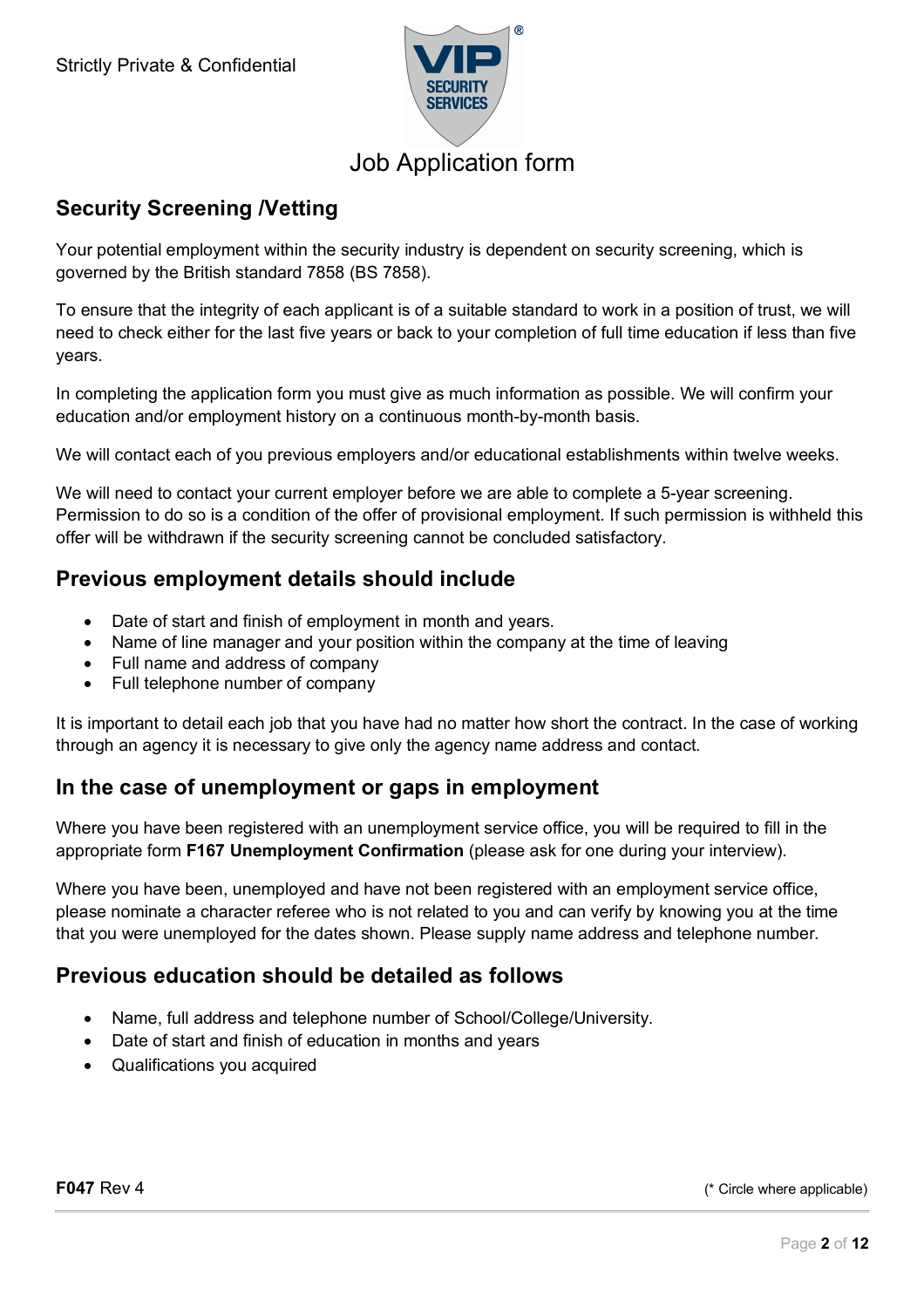

### **Security Screening /Vetting**

Your potential employment within the security industry is dependent on security screening, which is governed by the British standard 7858 (BS 7858).

To ensure that the integrity of each applicant is of a suitable standard to work in a position of trust, we will need to check either for the last five years or back to your completion of full time education if less than five years.

In completing the application form you must give as much information as possible. We will confirm your education and/or employment history on a continuous month-by-month basis.

We will contact each of you previous employers and/or educational establishments within twelve weeks.

We will need to contact your current employer before we are able to complete a 5-year screening. Permission to do so is a condition of the offer of provisional employment. If such permission is withheld this offer will be withdrawn if the security screening cannot be concluded satisfactory.

### **Previous employment details should include**

- Date of start and finish of employment in month and years.
- Name of line manager and your position within the company at the time of leaving
- Full name and address of company
- Full telephone number of company

It is important to detail each job that you have had no matter how short the contract. In the case of working through an agency it is necessary to give only the agency name address and contact.

### **In the case of unemployment or gaps in employment**

Where you have been registered with an unemployment service office, you will be required to fill in the appropriate form **F167 Unemployment Confirmation** (please ask for one during your interview).

Where you have been, unemployed and have not been registered with an employment service office, please nominate a character referee who is not related to you and can verify by knowing you at the time that you were unemployed for the dates shown. Please supply name address and telephone number.

### **Previous education should be detailed as follows**

- Name, full address and telephone number of School/College/University.
- Date of start and finish of education in months and years
- Qualifications you acquired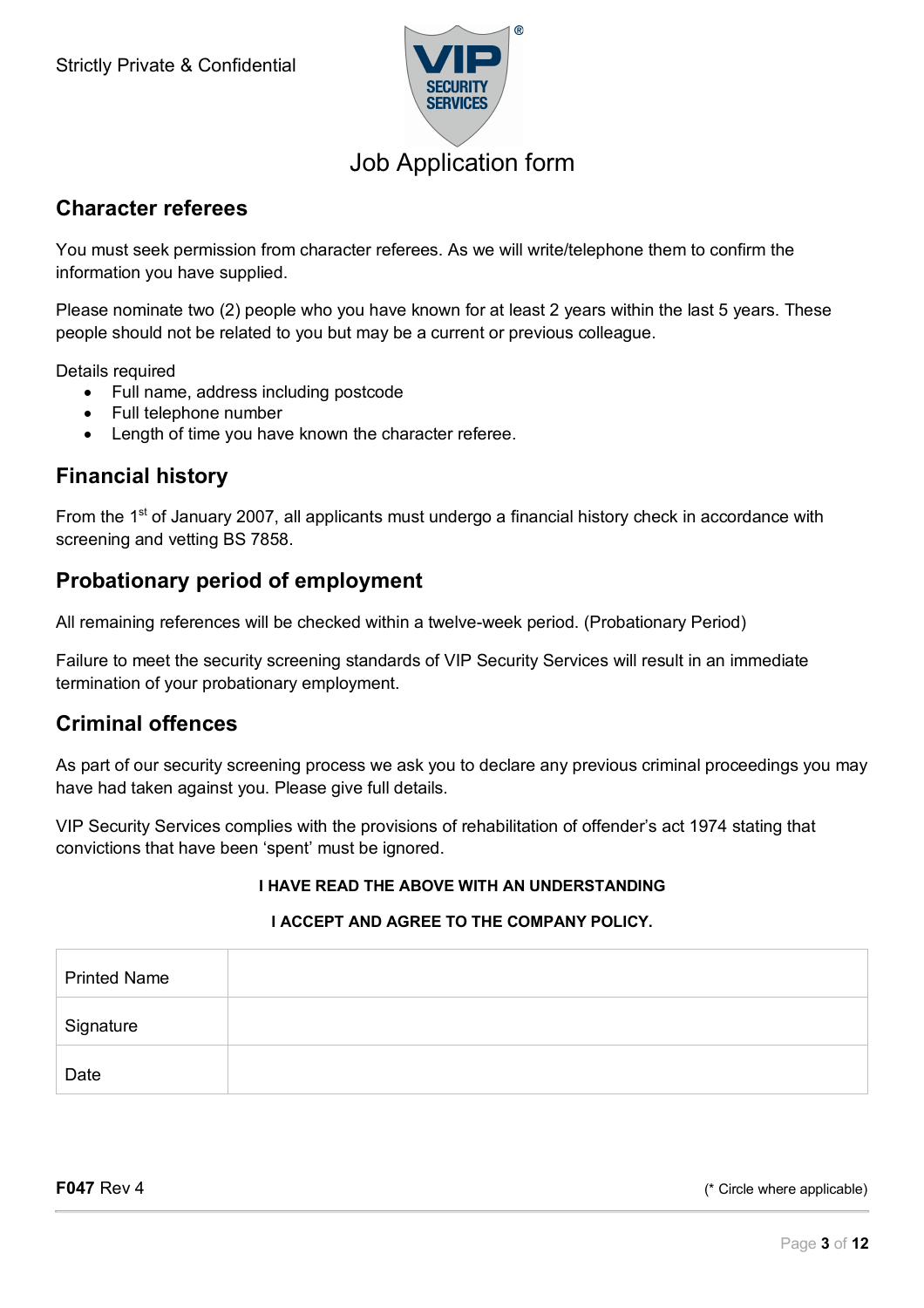

### **Character referees**

You must seek permission from character referees. As we will write/telephone them to confirm the information you have supplied.

Please nominate two (2) people who you have known for at least 2 years within the last 5 years. These people should not be related to you but may be a current or previous colleague.

Details required

- Full name, address including postcode
- Full telephone number
- Length of time you have known the character referee.

### **Financial history**

From the 1<sup>st</sup> of January 2007, all applicants must undergo a financial history check in accordance with screening and vetting BS 7858.

### **Probationary period of employment**

All remaining references will be checked within a twelve-week period. (Probationary Period)

Failure to meet the security screening standards of VIP Security Services will result in an immediate termination of your probationary employment.

### **Criminal offences**

As part of our security screening process we ask you to declare any previous criminal proceedings you may have had taken against you. Please give full details.

VIP Security Services complies with the provisions of rehabilitation of offender's act 1974 stating that convictions that have been 'spent' must be ignored.

#### **I HAVE READ THE ABOVE WITH AN UNDERSTANDING**

#### **I ACCEPT AND AGREE TO THE COMPANY POLICY.**

| <b>Printed Name</b> |  |
|---------------------|--|
| Signature           |  |
| Date                |  |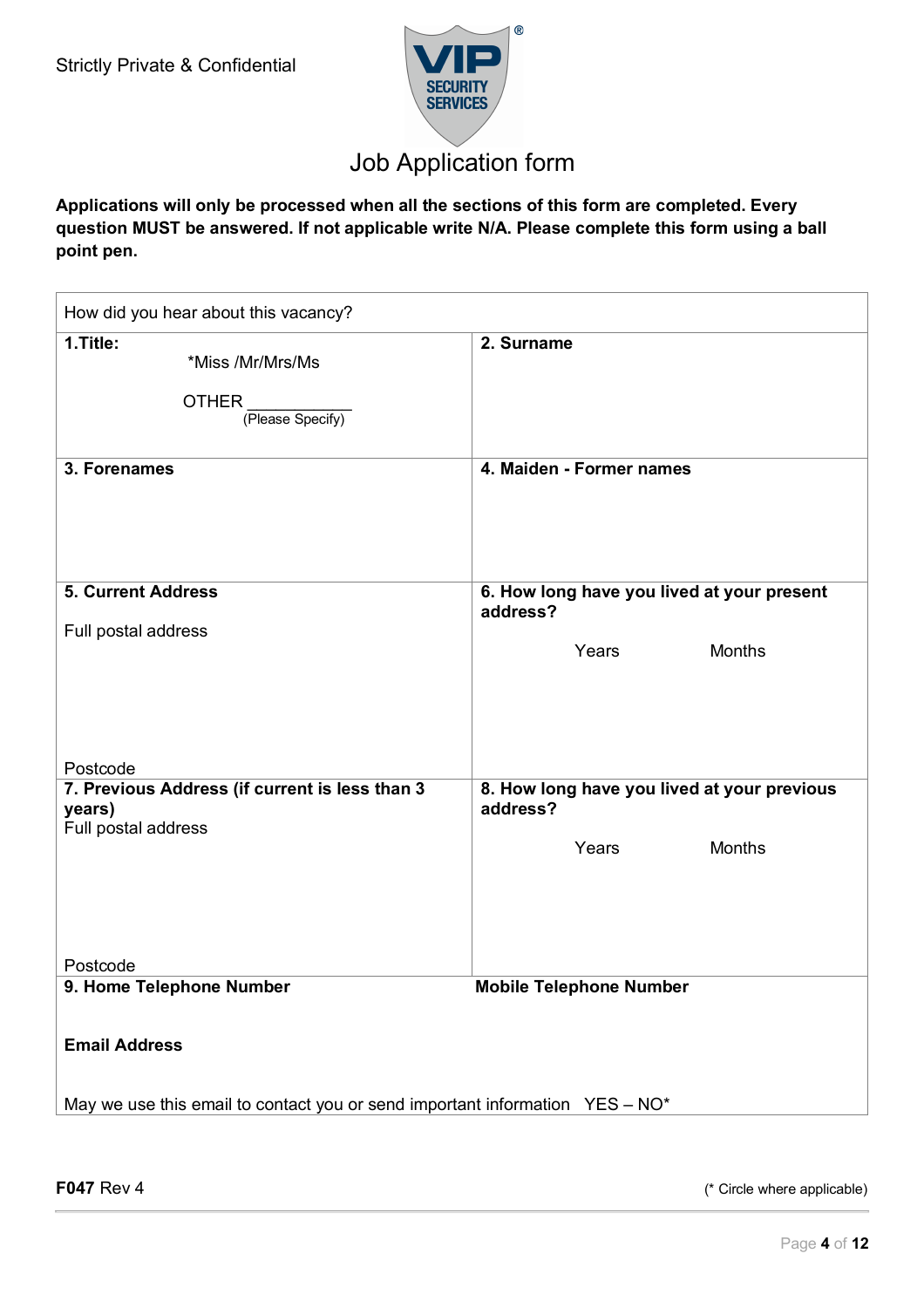

**Applications will only be processed when all the sections of this form are completed. Every question MUST be answered. If not applicable write N/A. Please complete this form using a ball point pen.**

| How did you hear about this vacancy?                                         |                                                         |  |  |
|------------------------------------------------------------------------------|---------------------------------------------------------|--|--|
| 1. Title:<br>*Miss /Mr/Mrs/Ms<br><b>OTHER</b><br>(Please Specify)            | 2. Surname                                              |  |  |
| 3. Forenames                                                                 | 4. Maiden - Former names                                |  |  |
| <b>5. Current Address</b>                                                    | 6. How long have you lived at your present<br>address?  |  |  |
| Full postal address                                                          | Years<br><b>Months</b>                                  |  |  |
| Postcode<br>7. Previous Address (if current is less than 3<br>years)         | 8. How long have you lived at your previous<br>address? |  |  |
| Full postal address                                                          | Years<br><b>Months</b>                                  |  |  |
| Postcode                                                                     |                                                         |  |  |
| 9. Home Telephone Number                                                     | <b>Mobile Telephone Number</b>                          |  |  |
| <b>Email Address</b>                                                         |                                                         |  |  |
| May we use this email to contact you or send important information YES - NO* |                                                         |  |  |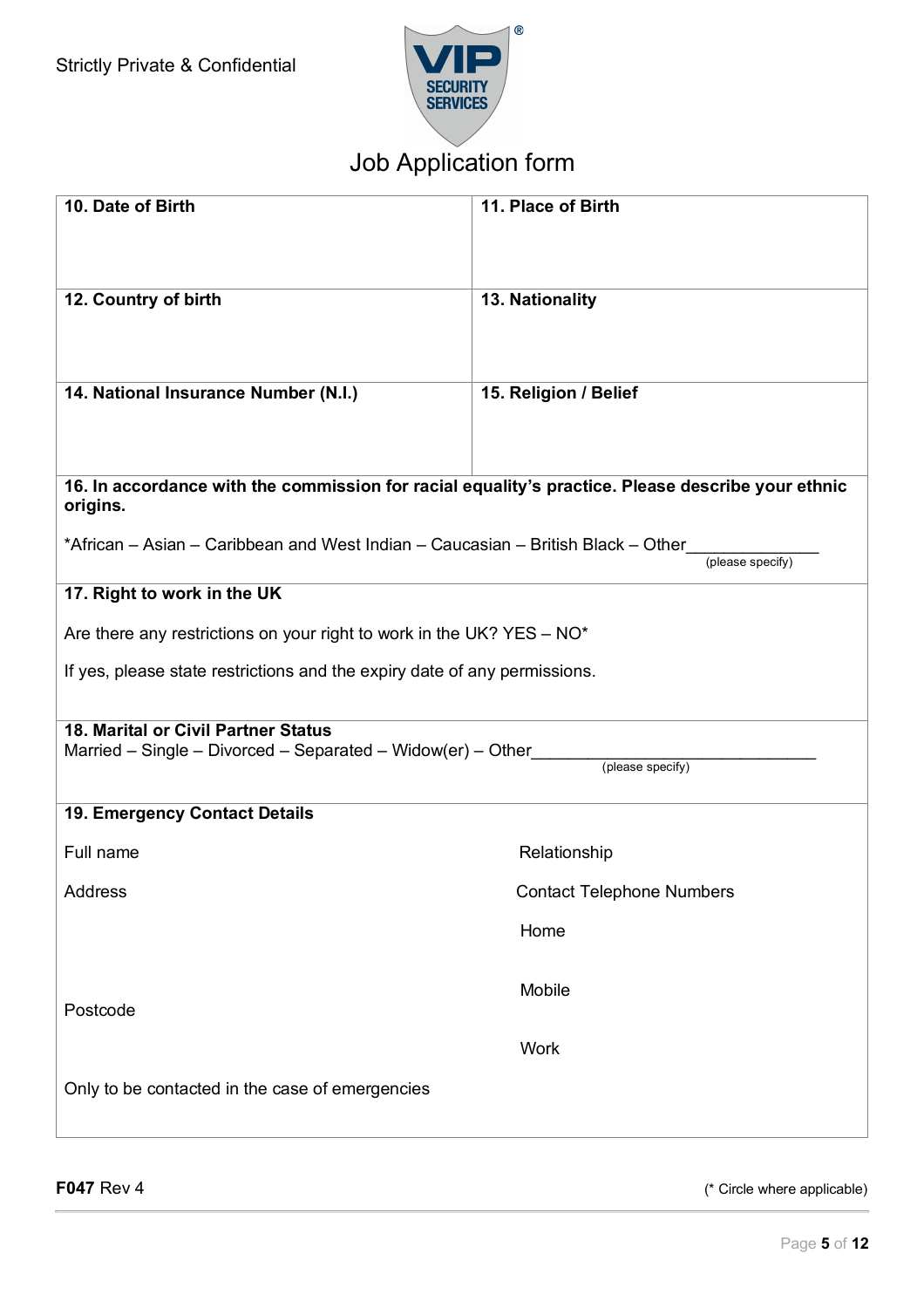

| 10. Date of Birth                                                                                             | 11. Place of Birth               |  |  |
|---------------------------------------------------------------------------------------------------------------|----------------------------------|--|--|
| 12. Country of birth                                                                                          | 13. Nationality                  |  |  |
| 14. National Insurance Number (N.I.)                                                                          | 15. Religion / Belief            |  |  |
| 16. In accordance with the commission for racial equality's practice. Please describe your ethnic<br>origins. |                                  |  |  |
| *African – Asian – Caribbean and West Indian – Caucasian – British Black – Other                              | (please specify)                 |  |  |
| 17. Right to work in the UK                                                                                   |                                  |  |  |
| Are there any restrictions on your right to work in the UK? YES - $NO*$                                       |                                  |  |  |
| If yes, please state restrictions and the expiry date of any permissions.                                     |                                  |  |  |
| 18. Marital or Civil Partner Status<br>Married – Single – Divorced – Separated – Widow(er) – Other            |                                  |  |  |
|                                                                                                               | (please specify)                 |  |  |
| 19. Emergency Contact Details                                                                                 |                                  |  |  |
| Full name                                                                                                     | Relationship                     |  |  |
| Address                                                                                                       | <b>Contact Telephone Numbers</b> |  |  |
|                                                                                                               | Home                             |  |  |
| Postcode                                                                                                      | Mobile                           |  |  |
|                                                                                                               | <b>Work</b>                      |  |  |
| Only to be contacted in the case of emergencies                                                               |                                  |  |  |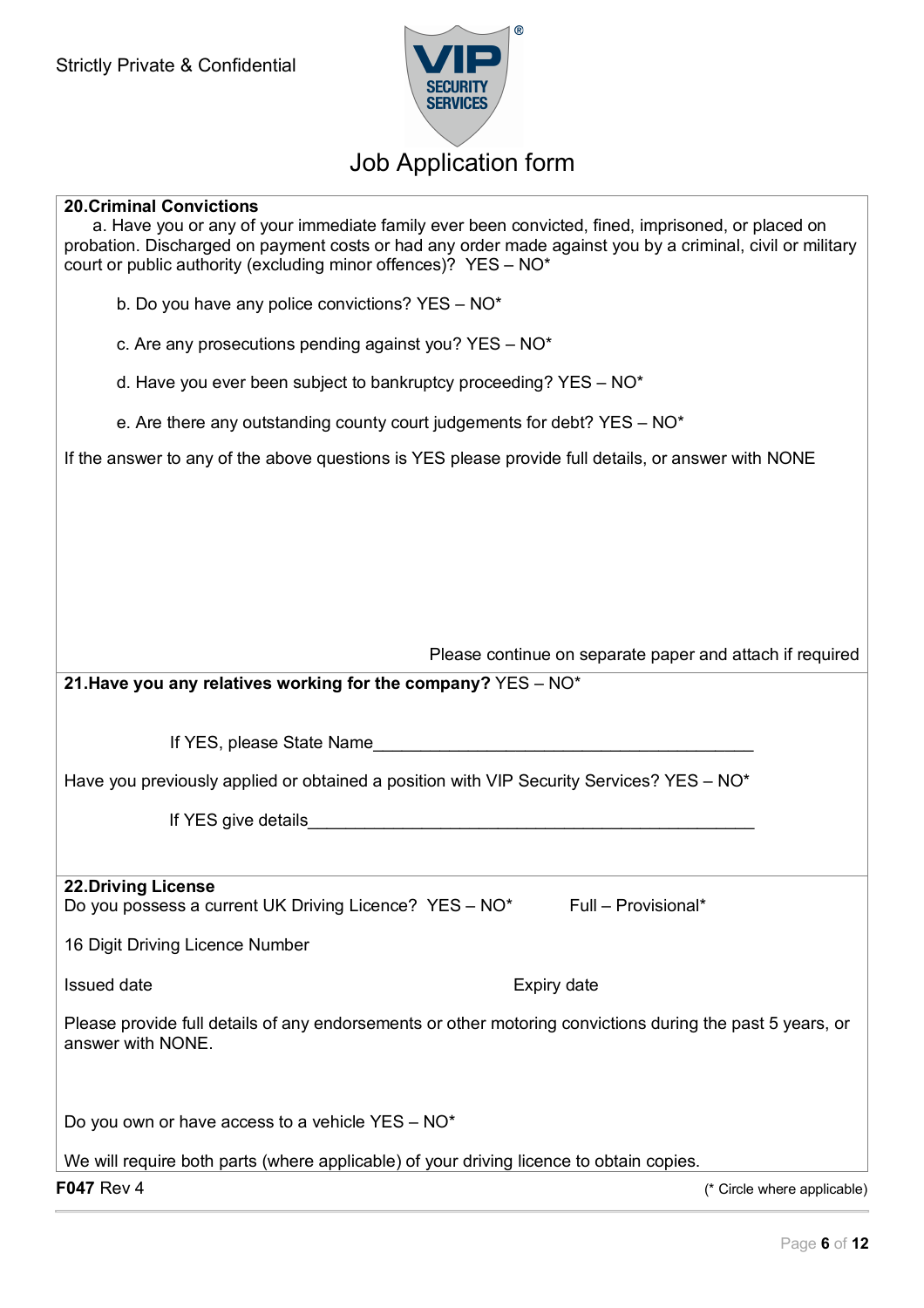

### **20.Criminal Convictions**

| a. Have you or any of your immediate family ever been convicted, fined, imprisoned, or placed on<br>probation. Discharged on payment costs or had any order made against you by a criminal, civil or military<br>court or public authority (excluding minor offences)? YES - NO* |
|----------------------------------------------------------------------------------------------------------------------------------------------------------------------------------------------------------------------------------------------------------------------------------|
| b. Do you have any police convictions? YES - NO*                                                                                                                                                                                                                                 |
| c. Are any prosecutions pending against you? $YES - NO^*$                                                                                                                                                                                                                        |
| d. Have you ever been subject to bankruptcy proceeding? YES - NO*                                                                                                                                                                                                                |
| e. Are there any outstanding county court judgements for debt? $YES - NO*$                                                                                                                                                                                                       |
| If the answer to any of the above questions is YES please provide full details, or answer with NONE                                                                                                                                                                              |
|                                                                                                                                                                                                                                                                                  |
|                                                                                                                                                                                                                                                                                  |
|                                                                                                                                                                                                                                                                                  |
|                                                                                                                                                                                                                                                                                  |
| Please continue on separate paper and attach if required                                                                                                                                                                                                                         |
| 21. Have you any relatives working for the company? $YES - NO*$                                                                                                                                                                                                                  |
| If YES, please State Name                                                                                                                                                                                                                                                        |
| Have you previously applied or obtained a position with VIP Security Services? YES – NO*                                                                                                                                                                                         |
|                                                                                                                                                                                                                                                                                  |
|                                                                                                                                                                                                                                                                                  |
| <b>22.Driving License</b><br>Do you possess a current UK Driving Licence? YES - NO*<br>Full - Provisional*                                                                                                                                                                       |
| 16 Digit Driving Licence Number                                                                                                                                                                                                                                                  |
| Issued date<br>Expiry date                                                                                                                                                                                                                                                       |
| Please provide full details of any endorsements or other motoring convictions during the past 5 years, or<br>answer with NONE.                                                                                                                                                   |
|                                                                                                                                                                                                                                                                                  |
| Do you own or have access to a vehicle YES - NO*                                                                                                                                                                                                                                 |
| We will require both parts (where applicable) of your driving licence to obtain copies.                                                                                                                                                                                          |
| F047 Rev 4<br>(* Circle where applicable)                                                                                                                                                                                                                                        |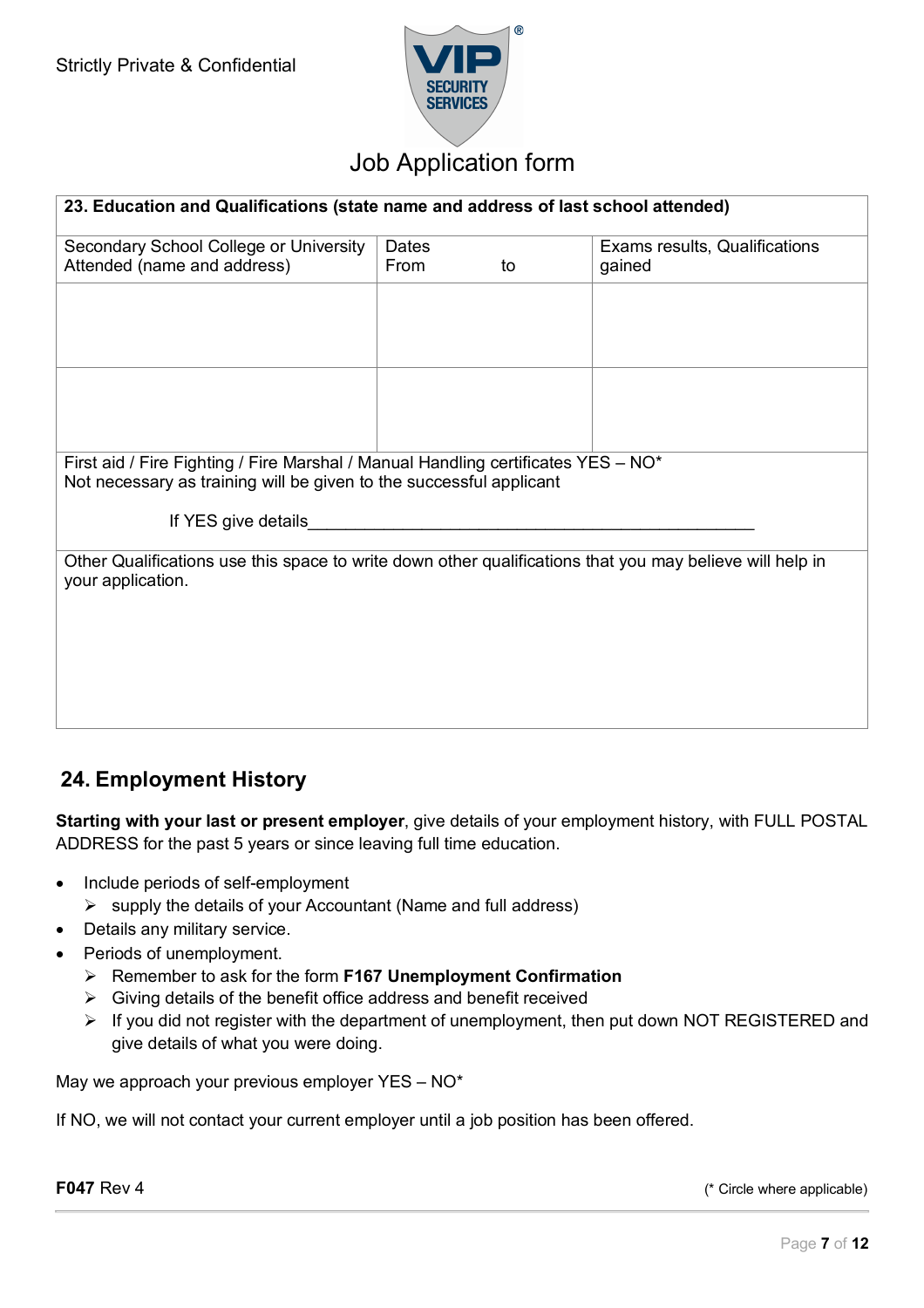

| 23. Education and Qualifications (state name and address of last school attended)                                                                        |       |    |                               |  |
|----------------------------------------------------------------------------------------------------------------------------------------------------------|-------|----|-------------------------------|--|
| Secondary School College or University                                                                                                                   | Dates |    | Exams results, Qualifications |  |
| Attended (name and address)                                                                                                                              | From  | to | gained                        |  |
|                                                                                                                                                          |       |    |                               |  |
|                                                                                                                                                          |       |    |                               |  |
| First aid / Fire Fighting / Fire Marshal / Manual Handling certificates YES - NO*<br>Not necessary as training will be given to the successful applicant |       |    |                               |  |
| If YES give details                                                                                                                                      |       |    |                               |  |
| Other Qualifications use this space to write down other qualifications that you may believe will help in<br>your application.                            |       |    |                               |  |
|                                                                                                                                                          |       |    |                               |  |
|                                                                                                                                                          |       |    |                               |  |
|                                                                                                                                                          |       |    |                               |  |

### **24. Employment History**

**Starting with your last or present employer**, give details of your employment history, with FULL POSTAL ADDRESS for the past 5 years or since leaving full time education.

- Include periods of self-employment
	- $\triangleright$  supply the details of your Accountant (Name and full address)
- Details any military service.
- Periods of unemployment.
	- Ø Remember to ask for the form **F167 Unemployment Confirmation**
	- $\triangleright$  Giving details of the benefit office address and benefit received
	- $\triangleright$  If you did not register with the department of unemployment, then put down NOT REGISTERED and give details of what you were doing.

May we approach your previous employer YES - NO\*

If NO, we will not contact your current employer until a job position has been offered.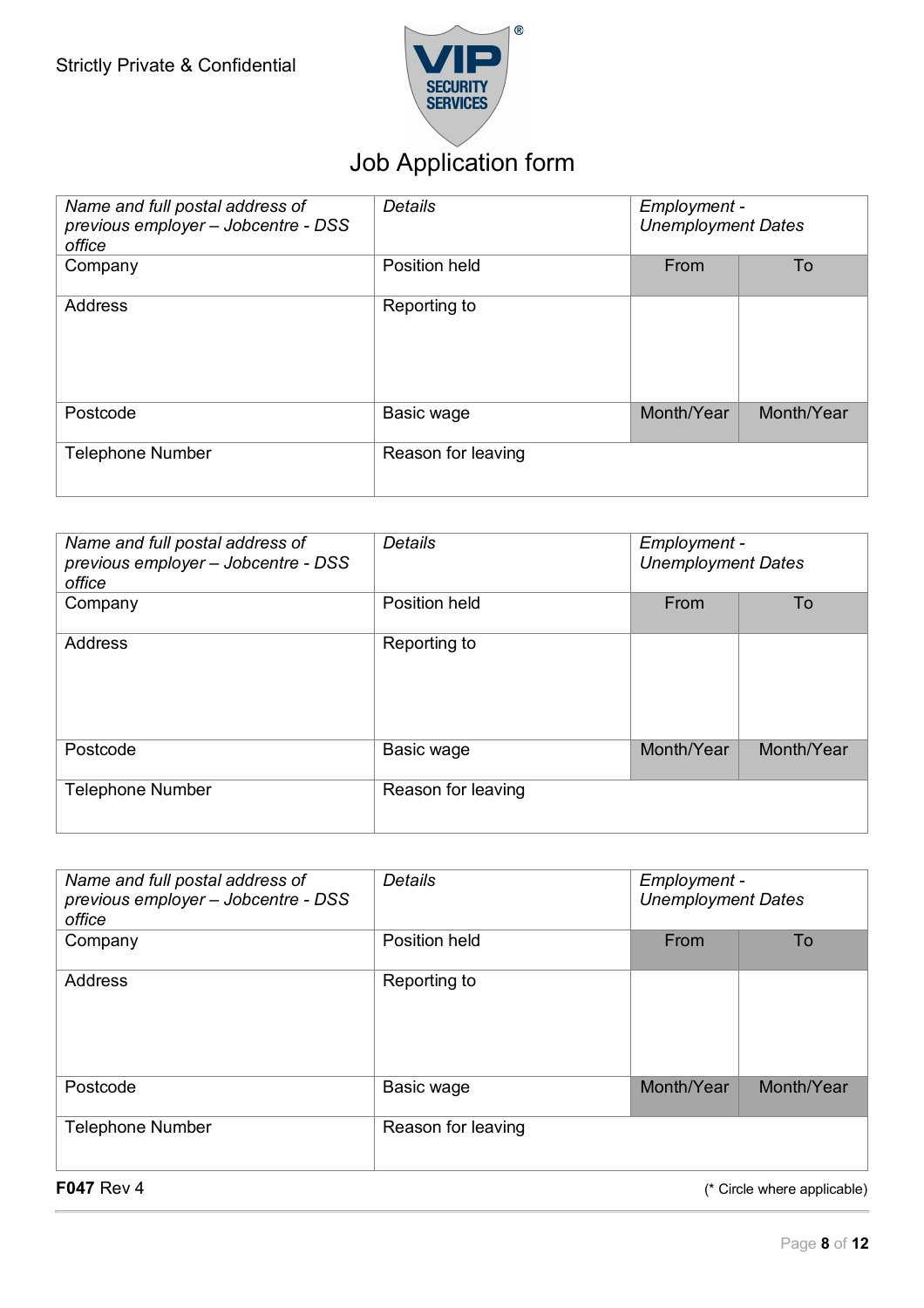

| Name and full postal address of<br>previous employer - Jobcentre - DSS<br>office | Details            | Employment -<br><b>Unemployment Dates</b> |            |
|----------------------------------------------------------------------------------|--------------------|-------------------------------------------|------------|
| Company                                                                          | Position held      | From                                      | To         |
| <b>Address</b>                                                                   | Reporting to       |                                           |            |
| Postcode                                                                         | Basic wage         | Month/Year                                | Month/Year |
| <b>Telephone Number</b>                                                          | Reason for leaving |                                           |            |

| Name and full postal address of<br>previous employer - Jobcentre - DSS<br>office | Details            | Employment -<br><b>Unemployment Dates</b> |            |
|----------------------------------------------------------------------------------|--------------------|-------------------------------------------|------------|
| Company                                                                          | Position held      | From                                      | To         |
| Address                                                                          | Reporting to       |                                           |            |
| Postcode                                                                         | Basic wage         | Month/Year                                | Month/Year |
| <b>Telephone Number</b>                                                          | Reason for leaving |                                           |            |

| Name and full postal address of<br>previous employer - Jobcentre - DSS<br>office | Details            | Employment -<br><b>Unemployment Dates</b> |            |
|----------------------------------------------------------------------------------|--------------------|-------------------------------------------|------------|
| Company                                                                          | Position held      | From                                      | To         |
| <b>Address</b>                                                                   | Reporting to       |                                           |            |
| Postcode                                                                         | Basic wage         | Month/Year                                | Month/Year |
| <b>Telephone Number</b>                                                          | Reason for leaving |                                           |            |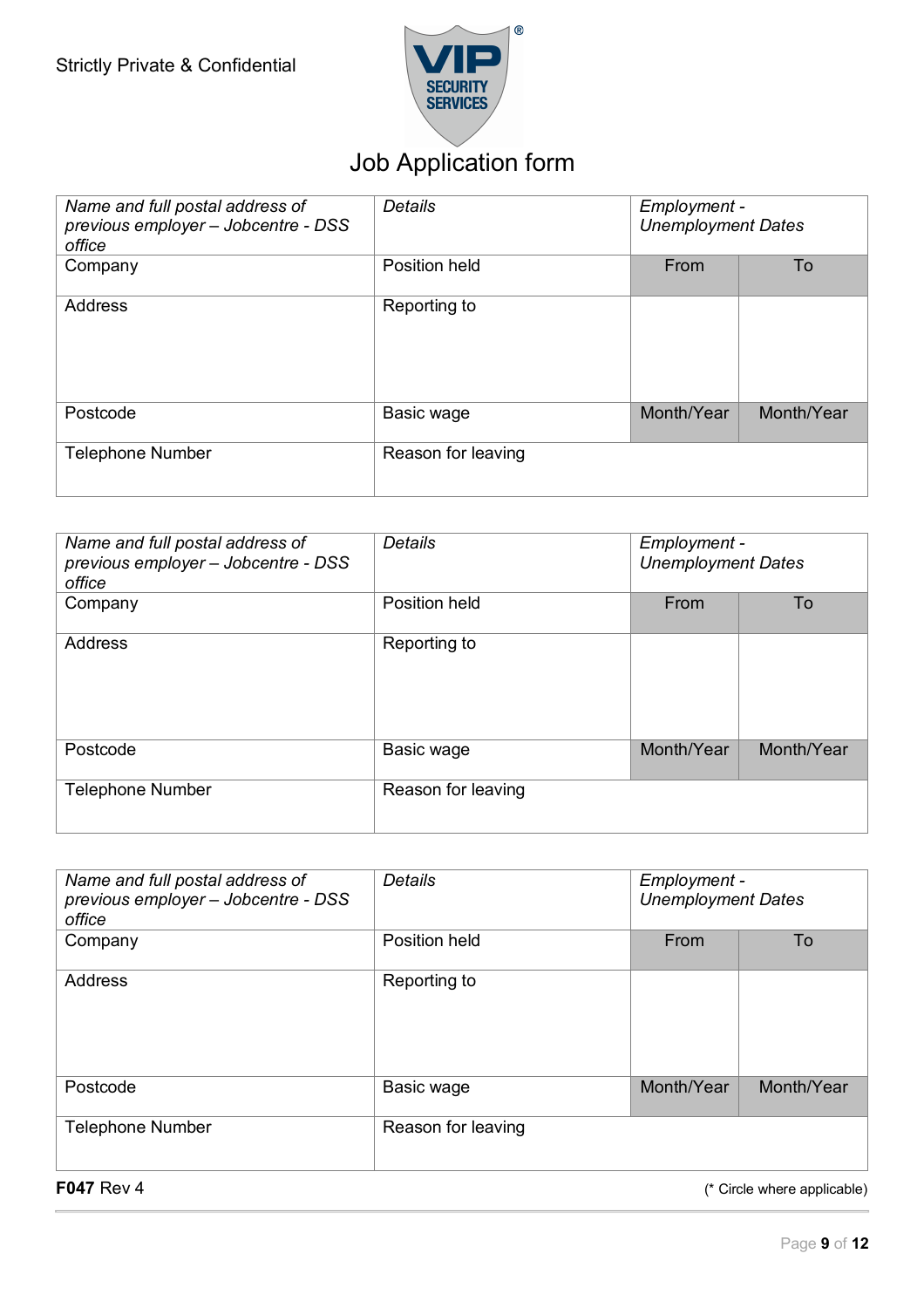

| Name and full postal address of<br>previous employer - Jobcentre - DSS<br>office | Details            | Employment -<br><b>Unemployment Dates</b> |            |
|----------------------------------------------------------------------------------|--------------------|-------------------------------------------|------------|
| Company                                                                          | Position held      | From                                      | To         |
| <b>Address</b>                                                                   | Reporting to       |                                           |            |
| Postcode                                                                         | Basic wage         | Month/Year                                | Month/Year |
| <b>Telephone Number</b>                                                          | Reason for leaving |                                           |            |

| Name and full postal address of<br>previous employer - Jobcentre - DSS<br>office | Details            | Employment -<br><b>Unemployment Dates</b> |            |
|----------------------------------------------------------------------------------|--------------------|-------------------------------------------|------------|
| Company                                                                          | Position held      | From                                      | To         |
| Address                                                                          | Reporting to       |                                           |            |
| Postcode                                                                         | Basic wage         | Month/Year                                | Month/Year |
| <b>Telephone Number</b>                                                          | Reason for leaving |                                           |            |

| Name and full postal address of<br>previous employer - Jobcentre - DSS<br>office | Details            | Employment -<br><b>Unemployment Dates</b> |            |
|----------------------------------------------------------------------------------|--------------------|-------------------------------------------|------------|
| Company                                                                          | Position held      | From                                      | To         |
| <b>Address</b>                                                                   | Reporting to       |                                           |            |
| Postcode                                                                         | Basic wage         | Month/Year                                | Month/Year |
| <b>Telephone Number</b>                                                          | Reason for leaving |                                           |            |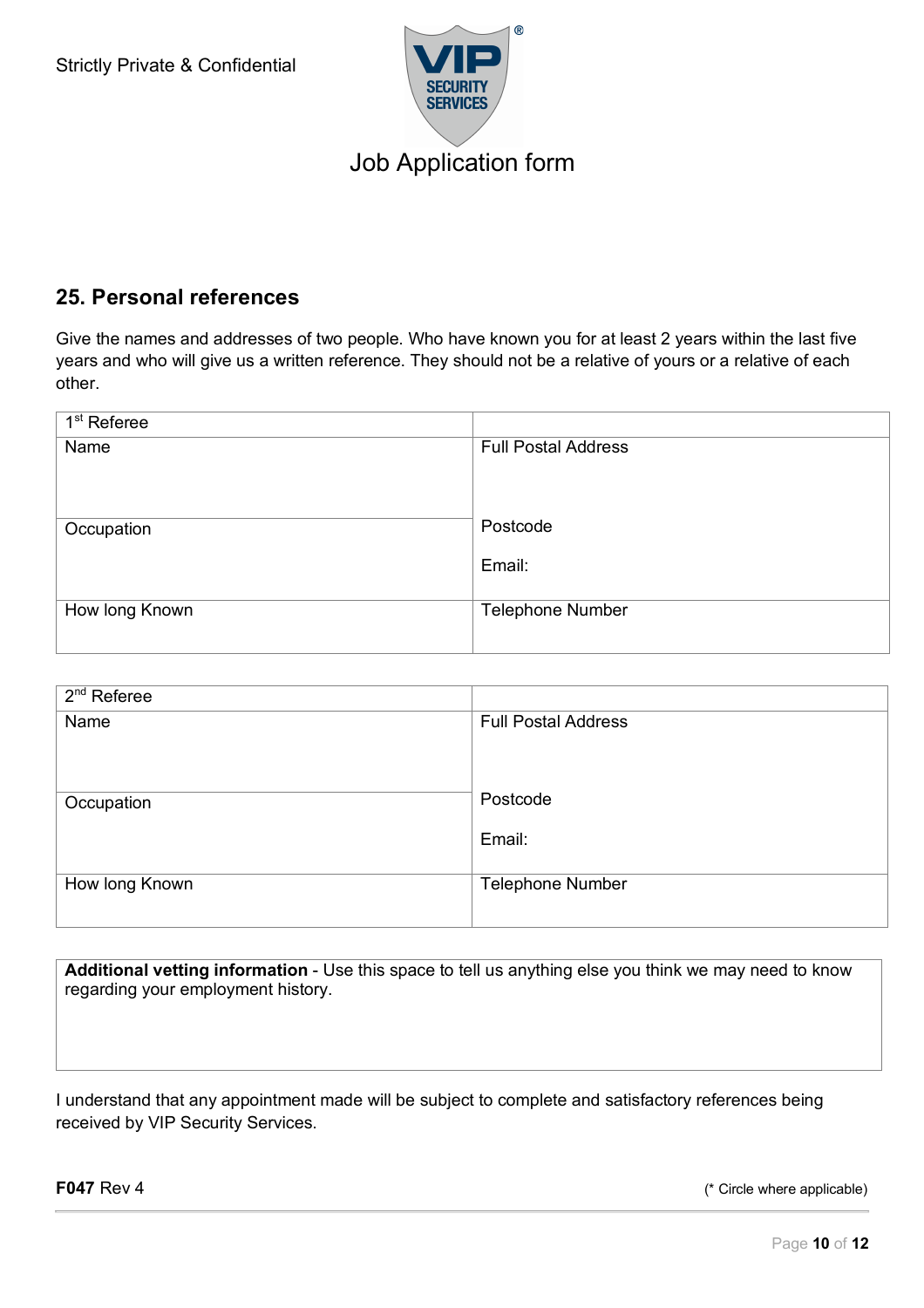

### **25. Personal references**

Give the names and addresses of two people. Who have known you for at least 2 years within the last five years and who will give us a written reference. They should not be a relative of yours or a relative of each other.

| $1st$ Referee  |                            |
|----------------|----------------------------|
| Name           | <b>Full Postal Address</b> |
|                |                            |
|                |                            |
|                |                            |
| Occupation     | Postcode                   |
|                | Email:                     |
|                |                            |
| How long Known | <b>Telephone Number</b>    |
|                |                            |
|                |                            |

| $2nd$ Referee  |                            |
|----------------|----------------------------|
| Name           | <b>Full Postal Address</b> |
|                |                            |
|                |                            |
|                |                            |
| Occupation     | Postcode                   |
|                | Email:                     |
|                |                            |
|                |                            |
| How long Known | <b>Telephone Number</b>    |
|                |                            |

**Additional vetting information** - Use this space to tell us anything else you think we may need to know regarding your employment history.

I understand that any appointment made will be subject to complete and satisfactory references being received by VIP Security Services.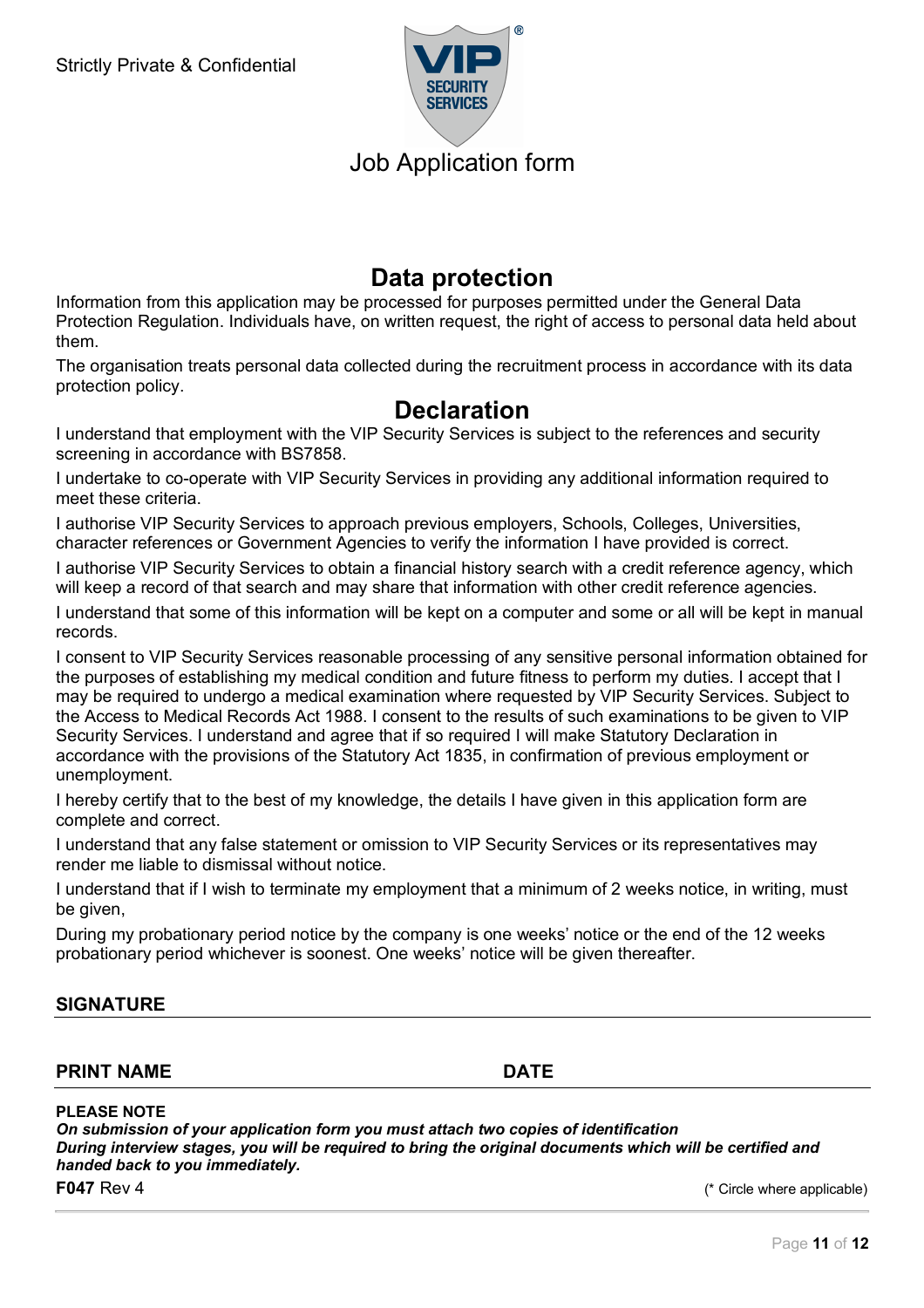

### **Data protection**

Information from this application may be processed for purposes permitted under the General Data Protection Regulation. Individuals have, on written request, the right of access to personal data held about them.

The organisation treats personal data collected during the recruitment process in accordance with its data protection policy.

### **Declaration**

I understand that employment with the VIP Security Services is subject to the references and security screening in accordance with BS7858.

I undertake to co-operate with VIP Security Services in providing any additional information required to meet these criteria.

I authorise VIP Security Services to approach previous employers, Schools, Colleges, Universities, character references or Government Agencies to verify the information I have provided is correct.

I authorise VIP Security Services to obtain a financial history search with a credit reference agency, which will keep a record of that search and may share that information with other credit reference agencies.

I understand that some of this information will be kept on a computer and some or all will be kept in manual records.

I consent to VIP Security Services reasonable processing of any sensitive personal information obtained for the purposes of establishing my medical condition and future fitness to perform my duties. I accept that I may be required to undergo a medical examination where requested by VIP Security Services. Subject to the Access to Medical Records Act 1988. I consent to the results of such examinations to be given to VIP Security Services. I understand and agree that if so required I will make Statutory Declaration in accordance with the provisions of the Statutory Act 1835, in confirmation of previous employment or unemployment.

I hereby certify that to the best of my knowledge, the details I have given in this application form are complete and correct.

I understand that any false statement or omission to VIP Security Services or its representatives may render me liable to dismissal without notice.

I understand that if I wish to terminate my employment that a minimum of 2 weeks notice, in writing, must be given,

During my probationary period notice by the company is one weeks' notice or the end of the 12 weeks probationary period whichever is soonest. One weeks' notice will be given thereafter.

#### **SIGNATURE**

#### **PRINT NAME DATE**

**PLEASE NOTE** 

*On submission of your application form you must attach two copies of identification During interview stages, you will be required to bring the original documents which will be certified and handed back to you immediately.*